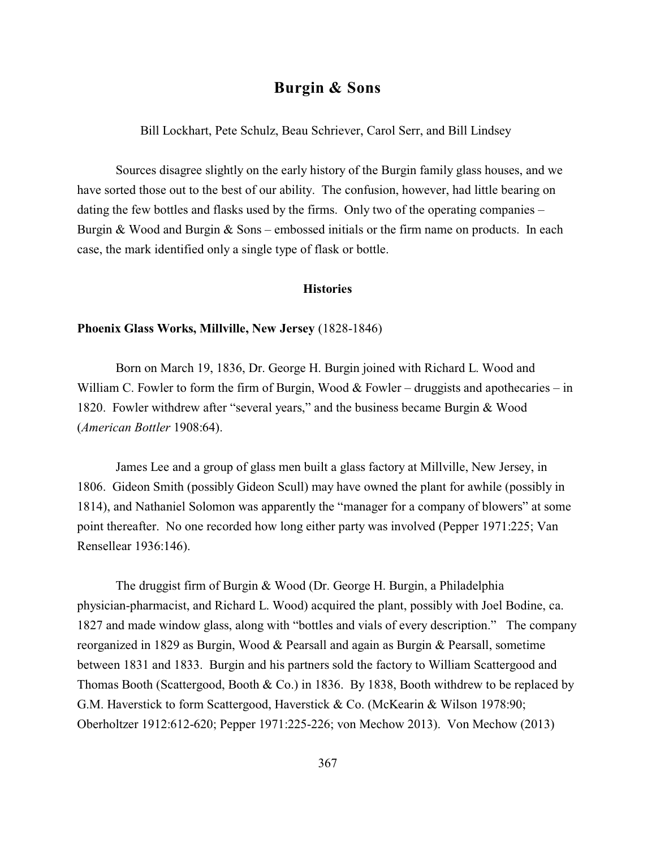# **Burgin & Sons**

Bill Lockhart, Pete Schulz, Beau Schriever, Carol Serr, and Bill Lindsey

Sources disagree slightly on the early history of the Burgin family glass houses, and we have sorted those out to the best of our ability. The confusion, however, had little bearing on dating the few bottles and flasks used by the firms. Only two of the operating companies – Burgin & Wood and Burgin & Sons – embossed initials or the firm name on products. In each case, the mark identified only a single type of flask or bottle.

### **Histories**

### **Phoenix Glass Works, Millville, New Jersey** (1828-1846)

Born on March 19, 1836, Dr. George H. Burgin joined with Richard L. Wood and William C. Fowler to form the firm of Burgin, Wood  $&$  Fowler – druggists and apothecaries – in 1820. Fowler withdrew after "several years," and the business became Burgin & Wood (*American Bottler* 1908:64).

James Lee and a group of glass men built a glass factory at Millville, New Jersey, in 1806. Gideon Smith (possibly Gideon Scull) may have owned the plant for awhile (possibly in 1814), and Nathaniel Solomon was apparently the "manager for a company of blowers" at some point thereafter. No one recorded how long either party was involved (Pepper 1971:225; Van Rensellear 1936:146).

The druggist firm of Burgin & Wood (Dr. George H. Burgin, a Philadelphia physician-pharmacist, and Richard L. Wood) acquired the plant, possibly with Joel Bodine, ca. 1827 and made window glass, along with "bottles and vials of every description." The company reorganized in 1829 as Burgin, Wood & Pearsall and again as Burgin & Pearsall, sometime between 1831 and 1833. Burgin and his partners sold the factory to William Scattergood and Thomas Booth (Scattergood, Booth & Co.) in 1836. By 1838, Booth withdrew to be replaced by G.M. Haverstick to form Scattergood, Haverstick & Co. (McKearin & Wilson 1978:90; Oberholtzer 1912:612-620; Pepper 1971:225-226; von Mechow 2013). Von Mechow (2013)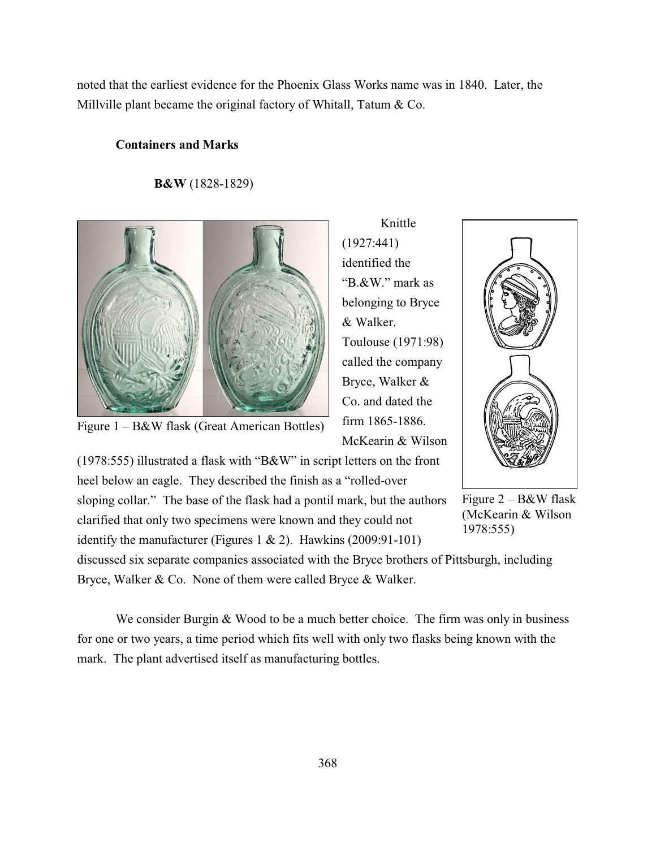noted that the earliest evidence for the Phoenix Glass Works name was in 1840. Later, the Millville plant became the original factory of Whitall, Tatum & Co.

#### **Containers and Marks**

### **B&W** (1828-1829)



Figure 1 – B&W flask (Great American Bottles)

Knittle (1927:441) identified the "B.&W." mark as belonging to Bryce & Walker. Toulouse (1971:98) called the company Bryce, Walker & Co. and dated the firm 1865-1886. McKearin & Wilson

heel below an eagle. They described the finish as a "rolled-over sloping collar." The base of the flask had a pontil mark, but the authors clarified that only two specimens were known and they could not identify the manufacturer (Figures 1 & 2). Hawkins (2009:91-101)

(1978:555) illustrated a flask with "B&W" in script letters on the front

Figure 2 – B&W flask (McKearin & Wilson 1978:555)

discussed six separate companies associated with the Bryce brothers of Pittsburgh, including Bryce, Walker & Co. None of them were called Bryce & Walker.

We consider Burgin & Wood to be a much better choice. The firm was only in business for one or two years, a time period which fits well with only two flasks being known with the mark. The plant advertised itself as manufacturing bottles.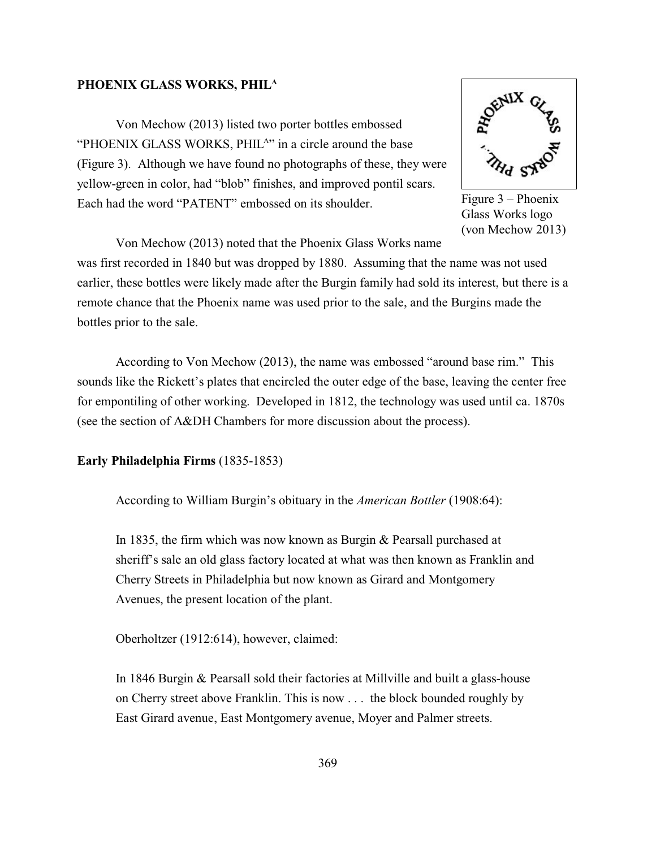### **PHOENIX GLASS WORKS, PHIL A**

Von Mechow (2013) listed two porter bottles embossed "PHOENIX GLASS WORKS, PHIL<sup>A</sup>" in a circle around the base (Figure 3). Although we have found no photographs of these, they were yellow-green in color, had "blob" finishes, and improved pontil scars. Each had the word "PATENT" embossed on its shoulder.



Figure 3 – Phoenix Glass Works logo (von Mechow 2013)

Von Mechow (2013) noted that the Phoenix Glass Works name

was first recorded in 1840 but was dropped by 1880. Assuming that the name was not used earlier, these bottles were likely made after the Burgin family had sold its interest, but there is a remote chance that the Phoenix name was used prior to the sale, and the Burgins made the bottles prior to the sale.

According to Von Mechow (2013), the name was embossed "around base rim." This sounds like the Rickett's plates that encircled the outer edge of the base, leaving the center free for empontiling of other working. Developed in 1812, the technology was used until ca. 1870s (see the section of A&DH Chambers for more discussion about the process).

**Early Philadelphia Firms** (1835-1853)

According to William Burgin's obituary in the *American Bottler* (1908:64):

In 1835, the firm which was now known as Burgin & Pearsall purchased at sheriff's sale an old glass factory located at what was then known as Franklin and Cherry Streets in Philadelphia but now known as Girard and Montgomery Avenues, the present location of the plant.

Oberholtzer (1912:614), however, claimed:

In 1846 Burgin & Pearsall sold their factories at Millville and built a glass-house on Cherry street above Franklin. This is now . . . the block bounded roughly by East Girard avenue, East Montgomery avenue, Moyer and Palmer streets.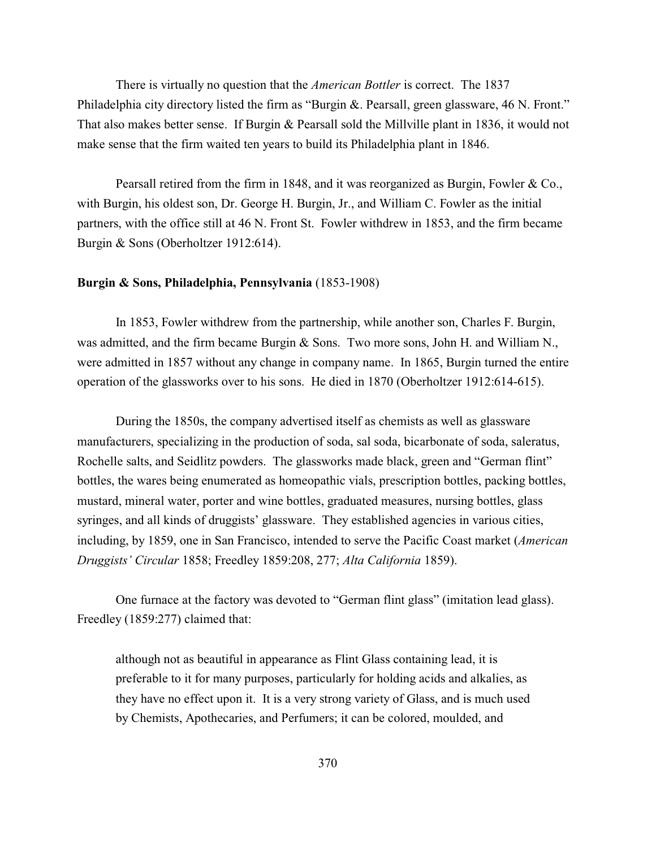There is virtually no question that the *American Bottler* is correct. The 1837 Philadelphia city directory listed the firm as "Burgin &. Pearsall, green glassware, 46 N. Front." That also makes better sense. If Burgin & Pearsall sold the Millville plant in 1836, it would not make sense that the firm waited ten years to build its Philadelphia plant in 1846.

Pearsall retired from the firm in 1848, and it was reorganized as Burgin, Fowler & Co., with Burgin, his oldest son, Dr. George H. Burgin, Jr., and William C. Fowler as the initial partners, with the office still at 46 N. Front St. Fowler withdrew in 1853, and the firm became Burgin & Sons (Oberholtzer 1912:614).

### **Burgin & Sons, Philadelphia, Pennsylvania** (1853-1908)

In 1853, Fowler withdrew from the partnership, while another son, Charles F. Burgin, was admitted, and the firm became Burgin & Sons. Two more sons, John H. and William N., were admitted in 1857 without any change in company name. In 1865, Burgin turned the entire operation of the glassworks over to his sons. He died in 1870 (Oberholtzer 1912:614-615).

During the 1850s, the company advertised itself as chemists as well as glassware manufacturers, specializing in the production of soda, sal soda, bicarbonate of soda, saleratus, Rochelle salts, and Seidlitz powders. The glassworks made black, green and "German flint" bottles, the wares being enumerated as homeopathic vials, prescription bottles, packing bottles, mustard, mineral water, porter and wine bottles, graduated measures, nursing bottles, glass syringes, and all kinds of druggists' glassware. They established agencies in various cities, including, by 1859, one in San Francisco, intended to serve the Pacific Coast market (*American Druggists' Circular* 1858; Freedley 1859:208, 277; *Alta California* 1859).

One furnace at the factory was devoted to "German flint glass" (imitation lead glass). Freedley (1859:277) claimed that:

although not as beautiful in appearance as Flint Glass containing lead, it is preferable to it for many purposes, particularly for holding acids and alkalies, as they have no effect upon it. It is a very strong variety of Glass, and is much used by Chemists, Apothecaries, and Perfumers; it can be colored, moulded, and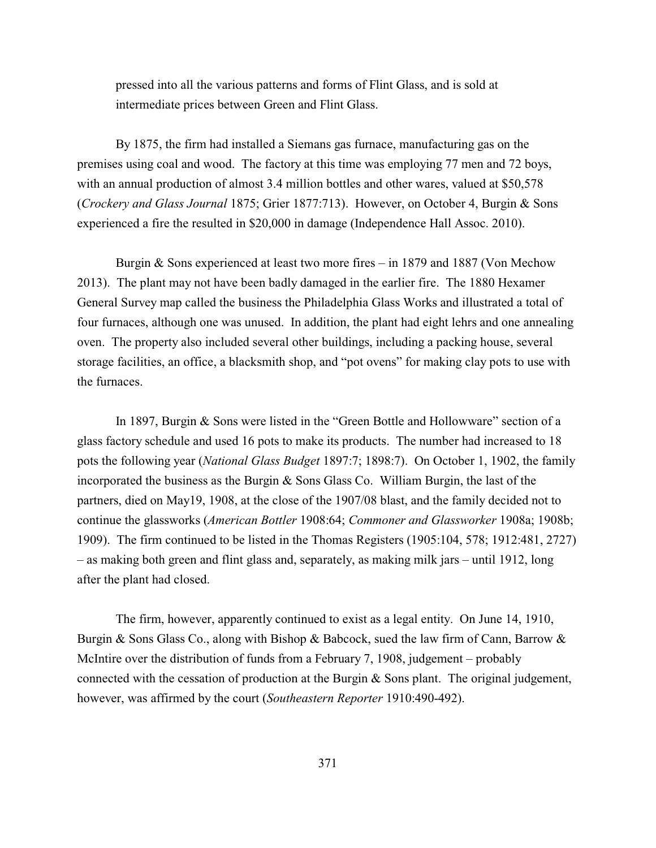pressed into all the various patterns and forms of Flint Glass, and is sold at intermediate prices between Green and Flint Glass.

By 1875, the firm had installed a Siemans gas furnace, manufacturing gas on the premises using coal and wood. The factory at this time was employing 77 men and 72 boys, with an annual production of almost 3.4 million bottles and other wares, valued at \$50,578 (*Crockery and Glass Journal* 1875; Grier 1877:713). However, on October 4, Burgin & Sons experienced a fire the resulted in \$20,000 in damage (Independence Hall Assoc. 2010).

Burgin & Sons experienced at least two more fires – in 1879 and 1887 (Von Mechow 2013). The plant may not have been badly damaged in the earlier fire. The 1880 Hexamer General Survey map called the business the Philadelphia Glass Works and illustrated a total of four furnaces, although one was unused. In addition, the plant had eight lehrs and one annealing oven. The property also included several other buildings, including a packing house, several storage facilities, an office, a blacksmith shop, and "pot ovens" for making clay pots to use with the furnaces.

In 1897, Burgin & Sons were listed in the "Green Bottle and Hollowware" section of a glass factory schedule and used 16 pots to make its products. The number had increased to 18 pots the following year (*National Glass Budget* 1897:7; 1898:7). On October 1, 1902, the family incorporated the business as the Burgin & Sons Glass Co. William Burgin, the last of the partners, died on May19, 1908, at the close of the 1907/08 blast, and the family decided not to continue the glassworks (*American Bottler* 1908:64; *Commoner and Glassworker* 1908a; 1908b; 1909). The firm continued to be listed in the Thomas Registers (1905:104, 578; 1912:481, 2727) – as making both green and flint glass and, separately, as making milk jars – until 1912, long after the plant had closed.

The firm, however, apparently continued to exist as a legal entity. On June 14, 1910, Burgin & Sons Glass Co., along with Bishop & Babcock, sued the law firm of Cann, Barrow & McIntire over the distribution of funds from a February 7, 1908, judgement – probably connected with the cessation of production at the Burgin & Sons plant. The original judgement, however, was affirmed by the court (*Southeastern Reporter* 1910:490-492).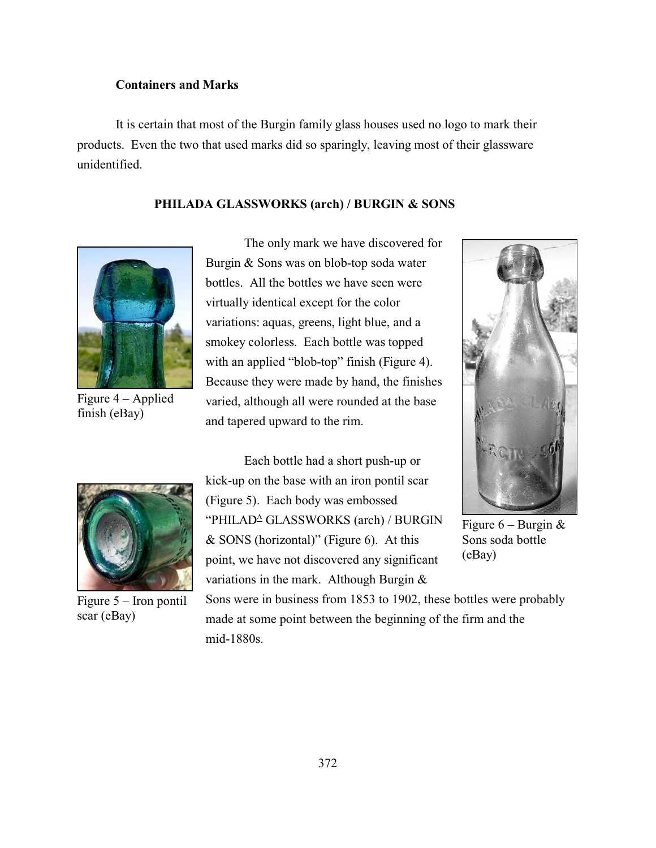## **Containers and Marks**

It is certain that most of the Burgin family glass houses used no logo to mark their products. Even the two that used marks did so sparingly, leaving most of their glassware unidentified.

### **PHILADA GLASSWORKS (arch) / BURGIN & SONS**



Figure 4 – Applied finish (eBay)

The only mark we have discovered for Burgin & Sons was on blob-top soda water bottles. All the bottles we have seen were virtually identical except for the color variations: aquas, greens, light blue, and a smokey colorless. Each bottle was topped with an applied "blob-top" finish (Figure 4). Because they were made by hand, the finishes varied, although all were rounded at the base and tapered upward to the rim.



Figure 5 – Iron pontil scar (eBay)

Each bottle had a short push-up or kick-up on the base with an iron pontil scar (Figure 5). Each body was embossed "PHILAD<sup>A</sup> GLASSWORKS (arch) / BURGIN & SONS (horizontal)" (Figure 6). At this point, we have not discovered any significant variations in the mark. Although Burgin &



Figure  $6$  – Burgin  $\&$ Sons soda bottle (eBay)

Sons were in business from 1853 to 1902, these bottles were probably made at some point between the beginning of the firm and the mid-1880s.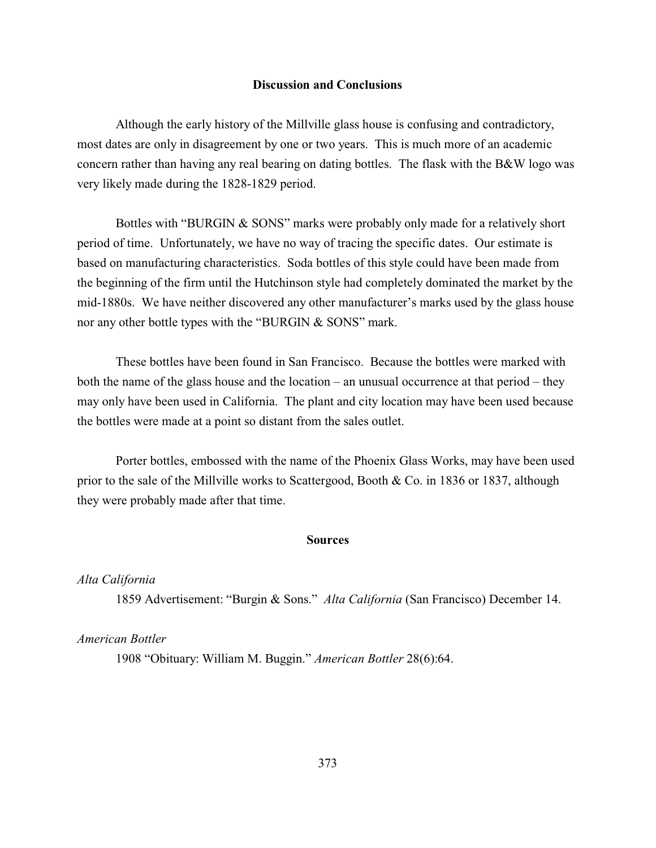### **Discussion and Conclusions**

Although the early history of the Millville glass house is confusing and contradictory, most dates are only in disagreement by one or two years. This is much more of an academic concern rather than having any real bearing on dating bottles. The flask with the B&W logo was very likely made during the 1828-1829 period.

Bottles with "BURGIN & SONS" marks were probably only made for a relatively short period of time. Unfortunately, we have no way of tracing the specific dates. Our estimate is based on manufacturing characteristics. Soda bottles of this style could have been made from the beginning of the firm until the Hutchinson style had completely dominated the market by the mid-1880s. We have neither discovered any other manufacturer's marks used by the glass house nor any other bottle types with the "BURGIN & SONS" mark.

These bottles have been found in San Francisco. Because the bottles were marked with both the name of the glass house and the location – an unusual occurrence at that period – they may only have been used in California. The plant and city location may have been used because the bottles were made at a point so distant from the sales outlet.

Porter bottles, embossed with the name of the Phoenix Glass Works, may have been used prior to the sale of the Millville works to Scattergood, Booth & Co. in 1836 or 1837, although they were probably made after that time.

#### **Sources**

#### *Alta California*

1859 Advertisement: "Burgin & Sons." *Alta California* (San Francisco) December 14.

# *American Bottler*

1908 "Obituary: William M. Buggin." *American Bottler* 28(6):64.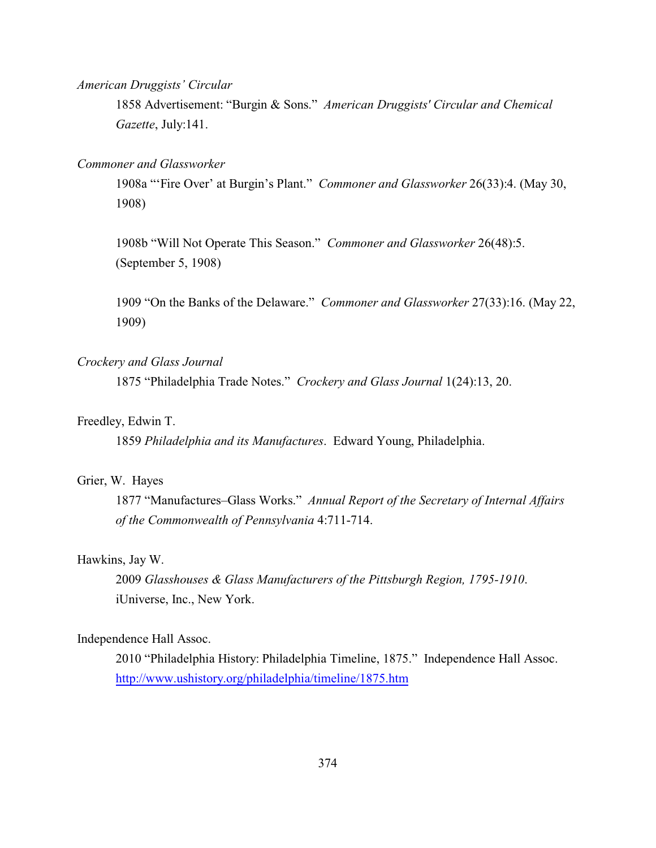*American Druggists' Circular*

1858 Advertisement: "Burgin & Sons." *American Druggists' Circular and Chemical Gazette*, July:141.

### *Commoner and Glassworker*

1908a "'Fire Over' at Burgin's Plant." *Commoner and Glassworker* 26(33):4. (May 30, 1908)

1908b "Will Not Operate This Season." *Commoner and Glassworker* 26(48):5. (September 5, 1908)

1909 "On the Banks of the Delaware." *Commoner and Glassworker* 27(33):16. (May 22, 1909)

### *Crockery and Glass Journal*

1875 "Philadelphia Trade Notes." *Crockery and Glass Journal* 1(24):13, 20.

### Freedley, Edwin T.

1859 *Philadelphia and its Manufactures*. Edward Young, Philadelphia.

### Grier, W. Hayes

1877 "Manufactures–Glass Works." *Annual Report of the Secretary of Internal Affairs of the Commonwealth of Pennsylvania* 4:711-714.

#### Hawkins, Jay W.

2009 *Glasshouses & Glass Manufacturers of the Pittsburgh Region, 1795-1910*. iUniverse, Inc., New York.

### Independence Hall Assoc.

2010 "Philadelphia History: Philadelphia Timeline, 1875." Independence Hall Assoc. <http://www.ushistory.org/philadelphia/timeline/1875.htm>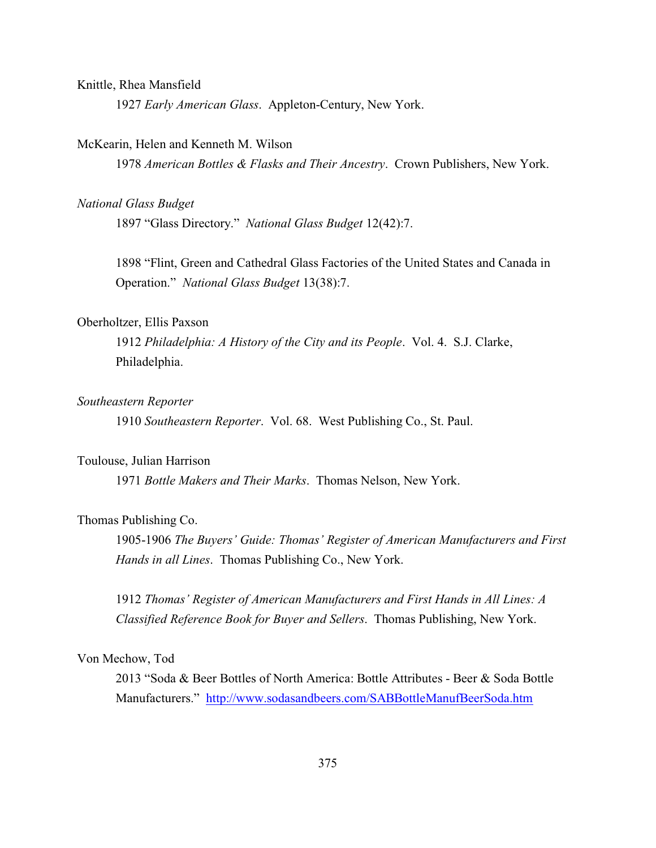### Knittle, Rhea Mansfield

1927 *Early American Glass*. Appleton-Century, New York.

#### McKearin, Helen and Kenneth M. Wilson

1978 *American Bottles & Flasks and Their Ancestry*. Crown Publishers, New York.

#### *National Glass Budget*

1897 "Glass Directory." *National Glass Budget* 12(42):7.

1898 "Flint, Green and Cathedral Glass Factories of the United States and Canada in Operation." *National Glass Budget* 13(38):7.

### Oberholtzer, Ellis Paxson

1912 *Philadelphia: A History of the City and its People*. Vol. 4. S.J. Clarke, Philadelphia.

### *Southeastern Reporter*

1910 *Southeastern Reporter*. Vol. 68. West Publishing Co., St. Paul.

#### Toulouse, Julian Harrison

1971 *Bottle Makers and Their Marks*. Thomas Nelson, New York.

### Thomas Publishing Co.

1905-1906 *The Buyers' Guide: Thomas' Register of American Manufacturers and First Hands in all Lines*. Thomas Publishing Co., New York.

1912 *Thomas' Register of American Manufacturers and First Hands in All Lines: A Classified Reference Book for Buyer and Sellers*. Thomas Publishing, New York.

### Von Mechow, Tod

2013 "Soda & Beer Bottles of North America: Bottle Attributes - Beer & Soda Bottle Manufacturers." <http://www.sodasandbeers.com/SABBottleManufBeerSoda.htm>